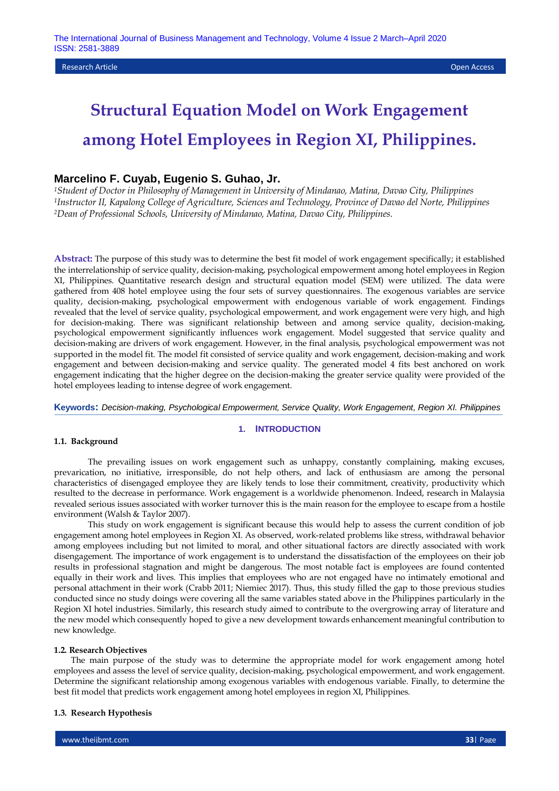## **Marcelino F. Cuyab, Eugenio S. Guhao, Jr.**

*<sup>1</sup>Student of Doctor in Philosophy of Management in University of Mindanao, Matina, Davao City, Philippines <sup>1</sup>Instructor II, Kapalong College of Agriculture, Sciences and Technology, Province of Davao del Norte, Philippines <sup>2</sup>Dean of Professional Schools, University of Mindanao, Matina, Davao City, Philippines.*

**Abstract:** The purpose of this study was to determine the best fit model of work engagement specifically; it established the interrelationship of service quality, decision-making, psychological empowerment among hotel employees in Region XI, Philippines. Quantitative research design and structural equation model (SEM) were utilized. The data were gathered from 408 hotel employee using the four sets of survey questionnaires. The exogenous variables are service quality, decision-making, psychological empowerment with endogenous variable of work engagement. Findings revealed that the level of service quality, psychological empowerment, and work engagement were very high, and high for decision-making. There was significant relationship between and among service quality, decision-making, psychological empowerment significantly influences work engagement. Model suggested that service quality and decision-making are drivers of work engagement. However, in the final analysis, psychological empowerment was not supported in the model fit. The model fit consisted of service quality and work engagement, decision-making and work engagement and between decision-making and service quality. The generated model 4 fits best anchored on work engagement indicating that the higher degree on the decision-making the greater service quality were provided of the hotel employees leading to intense degree of work engagement.

### **Keywords:** *Decision-making, Psychological Empowerment, Service Quality, Work Engagement, Region XI. Philippines*

# **1. INTRODUCTION**

#### **1.1. Background**

The prevailing issues on work engagement such as unhappy, constantly complaining, making excuses, prevarication, no initiative, irresponsible, do not help others, and lack of enthusiasm are among the personal characteristics of disengaged employee they are likely tends to lose their commitment, creativity, productivity which resulted to the decrease in performance. Work engagement is a worldwide phenomenon. Indeed, research in Malaysia revealed serious issues associated with worker turnover this is the main reason for the employee to escape from a hostile environment (Walsh & Taylor 2007).

This study on work engagement is significant because this would help to assess the current condition of job engagement among hotel employees in Region XI. As observed, work-related problems like stress, withdrawal behavior among employees including but not limited to moral, and other situational factors are directly associated with work disengagement. The importance of work engagement is to understand the dissatisfaction of the employees on their job results in professional stagnation and might be dangerous. The most notable fact is employees are found contented equally in their work and lives. This implies that employees who are not engaged have no intimately emotional and personal attachment in their work (Crabb 2011; Niemiec 2017). Thus, this study filled the gap to those previous studies conducted since no study doings were covering all the same variables stated above in the Philippines particularly in the Region XI hotel industries. Similarly, this research study aimed to contribute to the overgrowing array of literature and the new model which consequently hoped to give a new development towards enhancement meaningful contribution to new knowledge.

#### **1.2. Research Objectives**

The main purpose of the study was to determine the appropriate model for work engagement among hotel employees and assess the level of service quality, decision-making, psychological empowerment, and work engagement. Determine the significant relationship among exogenous variables with endogenous variable. Finally, to determine the best fit model that predicts work engagement among hotel employees in region XI, Philippines.

## **1.3. Research Hypothesis**

www.theijbmt.com **33**| Page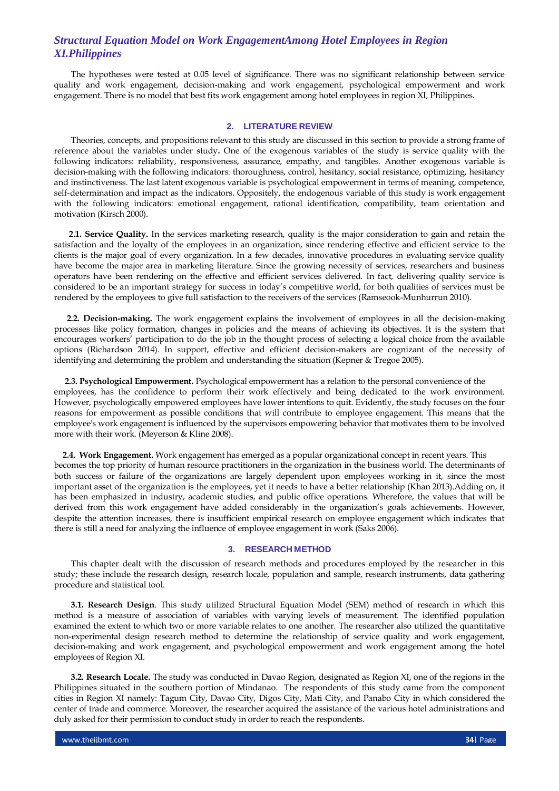The hypotheses were tested at 0.05 level of significance. There was no significant relationship between service quality and work engagement, decision-making and work engagement, psychological empowerment and work engagement. There is no model that best fits work engagement among hotel employees in region XI, Philippines.

#### **2. LITERATURE REVIEW**

Theories, concepts, and propositions relevant to this study are discussed in this section to provide a strong frame of reference about the variables under study**.** One of the exogenous variables of the study is service quality with the following indicators: reliability, responsiveness, assurance, empathy, and tangibles. Another exogenous variable is decision-making with the following indicators: thoroughness, control, hesitancy, social resistance, optimizing, hesitancy and instinctiveness. The last latent exogenous variable is psychological empowerment in terms of meaning, competence, self-determination and impact as the indicators. Oppositely, the endogenous variable of this study is work engagement with the following indicators: emotional engagement, rational identification, compatibility, team orientation and motivation (Kirsch 2000).

 **2.1. Service Quality.** In the services marketing research, quality is the major consideration to gain and retain the satisfaction and the loyalty of the employees in an organization, since rendering effective and efficient service to the clients is the major goal of every organization. In a few decades, innovative procedures in evaluating service quality have become the major area in marketing literature. Since the growing necessity of services, researchers and business operators have been rendering on the effective and efficient services delivered. In fact, delivering quality service is considered to be an important strategy for success in today's competitive world, for both qualities of services must be rendered by the employees to give full satisfaction to the receivers of the services (Ramseook-Munhurrun 2010).

 **2.2. Decision-making.** The work engagement explains the involvement of employees in all the decision-making processes like policy formation, changes in policies and the means of achieving its objectives. It is the system that encourages workers' participation to do the job in the thought process of selecting a logical choice from the available options (Richardson 2014). In support, effective and efficient decision-makers are cognizant of the necessity of identifying and determining the problem and understanding the situation (Kepner & Tregoe 2005).

 **2.3. Psychological Empowerment.** Psychological empowerment has a relation to the personal convenience of the employees, has the confidence to perform their work effectively and being dedicated to the work environment. However, psychologically empowered employees have lower intentions to quit. Evidently, the study focuses on the four reasons for empowerment as possible conditions that will contribute to employee engagement. This means that the employee's work engagement is influenced by the supervisors empowering behavior that motivates them to be involved more with their work. (Meyerson & Kline 2008).

**2.4. Work Engagement.** Work engagement has emerged as a popular organizational concept in recent years. This becomes the top priority of human resource practitioners in the organization in the business world. The determinants of both success or failure of the organizations are largely dependent upon employees working in it, since the most important asset of the organization is the employees, yet it needs to have a better relationship (Khan 2013).Adding on, it has been emphasized in industry, academic studies, and public office operations. Wherefore, the values that will be derived from this work engagement have added considerably in the organization's goals achievements. However, despite the attention increases, there is insufficient empirical research on employee engagement which indicates that there is still a need for analyzing the influence of employee engagement in work (Saks 2006).

#### **3. RESEARCH METHOD**

This chapter dealt with the discussion of research methods and procedures employed by the researcher in this study; these include the research design, research locale, population and sample, research instruments, data gathering procedure and statistical tool.

**3.1. Research Design**. This study utilized Structural Equation Model (SEM) method of research in which this method is a measure of association of variables with varying levels of measurement. The identified population examined the extent to which two or more variable relates to one another. The researcher also utilized the quantitative non-experimental design research method to determine the relationship of service quality and work engagement, decision-making and work engagement, and psychological empowerment and work engagement among the hotel employees of Region XI.

**3.2. Research Locale.** The study was conducted in Davao Region, designated as Region XI, one of the regions in the Philippines situated in the southern portion of Mindanao. The respondents of this study came from the component cities in Region XI namely: Tagum City, Davao City, Digos City, Mati City, and Panabo City in which considered the center of trade and commerce. Moreover, the researcher acquired the assistance of the various hotel administrations and duly asked for their permission to conduct study in order to reach the respondents.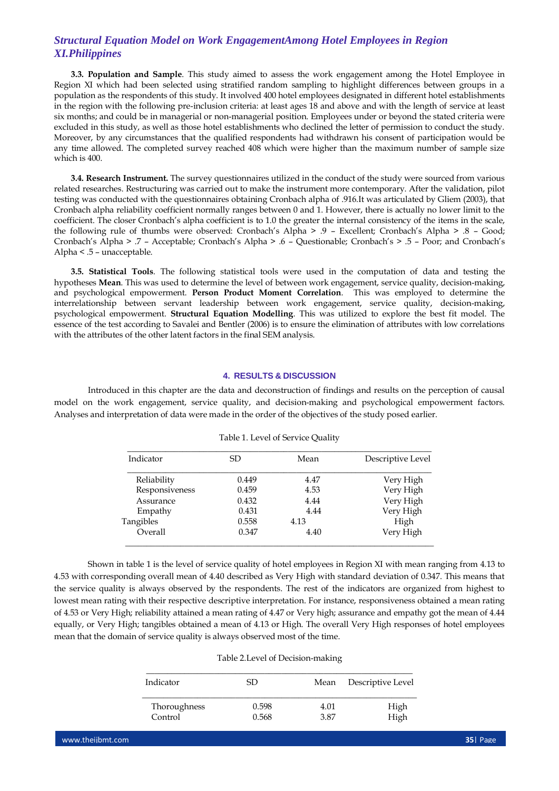**3.3. Population and Sample**. This study aimed to assess the work engagement among the Hotel Employee in Region XI which had been selected using stratified random sampling to highlight differences between groups in a population as the respondents of this study. It involved 400 hotel employees designated in different hotel establishments in the region with the following pre-inclusion criteria: at least ages 18 and above and with the length of service at least six months; and could be in managerial or non-managerial position. Employees under or beyond the stated criteria were excluded in this study, as well as those hotel establishments who declined the letter of permission to conduct the study. Moreover, by any circumstances that the qualified respondents had withdrawn his consent of participation would be any time allowed. The completed survey reached 408 which were higher than the maximum number of sample size which is 400.

**3.4. Research Instrument.** The survey questionnaires utilized in the conduct of the study were sourced from various related researches. Restructuring was carried out to make the instrument more contemporary. After the validation, pilot testing was conducted with the questionnaires obtaining Cronbach alpha of .916.It was articulated by Gliem (2003), that Cronbach alpha reliability coefficient normally ranges between 0 and 1. However, there is actually no lower limit to the coefficient. The closer Cronbach's alpha coefficient is to 1.0 the greater the internal consistency of the items in the scale, the following rule of thumbs were observed: Cronbach's Alpha > .9 – Excellent; Cronbach's Alpha > .8 – Good; Cronbach's Alpha > .7 – Acceptable; Cronbach's Alpha > .6 – Questionable; Cronbach's > .5 – Poor; and Cronbach's Alpha < .5 – unacceptable.

**3.5. Statistical Tools**. The following statistical tools were used in the computation of data and testing the hypotheses **Mean**. This was used to determine the level of between work engagement, service quality, decision-making, and psychological empowerment. **Person Product Moment Correlation**. This was employed to determine the interrelationship between servant leadership between work engagement, service quality, decision-making, psychological empowerment. **Structural Equation Modelling**. This was utilized to explore the best fit model. The essence of the test according to Savalei and Bentler (2006) is to ensure the elimination of attributes with low correlations with the attributes of the other latent factors in the final SEM analysis.

## **4. RESULTS & DISCUSSION**

Introduced in this chapter are the data and deconstruction of findings and results on the perception of causal model on the work engagement, service quality, and decision-making and psychological empowerment factors. Analyses and interpretation of data were made in the order of the objectives of the study posed earlier.

| Indicator      | SD.   | Mean | Descriptive Level |
|----------------|-------|------|-------------------|
| Reliability    | 0.449 | 4.47 | Very High         |
| Responsiveness | 0.459 | 4.53 | Very High         |
| Assurance      | 0.432 | 4.44 | Very High         |
| Empathy        | 0.431 | 4.44 | Very High         |
| Tangibles      | 0.558 | 4.13 | High              |
| Overall        | 0.347 | 4.40 | Very High         |
|                |       |      |                   |

|  |  | Table 1. Level of Service Quality |  |
|--|--|-----------------------------------|--|
|--|--|-----------------------------------|--|

Shown in table 1 is the level of service quality of hotel employees in Region XI with mean ranging from 4.13 to 4.53 with corresponding overall mean of 4.40 described as Very High with standard deviation of 0.347. This means that the service quality is always observed by the respondents. The rest of the indicators are organized from highest to lowest mean rating with their respective descriptive interpretation. For instance, responsiveness obtained a mean rating of 4.53 or Very High; reliability attained a mean rating of 4.47 or Very high; assurance and empathy got the mean of 4.44 equally, or Very High; tangibles obtained a mean of 4.13 or High. The overall Very High responses of hotel employees mean that the domain of service quality is always observed most of the time.

#### Table 2.Level of Decision-making

| Indicator    | SD.   | Mean | Descriptive Level |
|--------------|-------|------|-------------------|
| Thoroughness | 0.598 | 4.01 | High              |
| Control      | 0.568 | 3.87 | High              |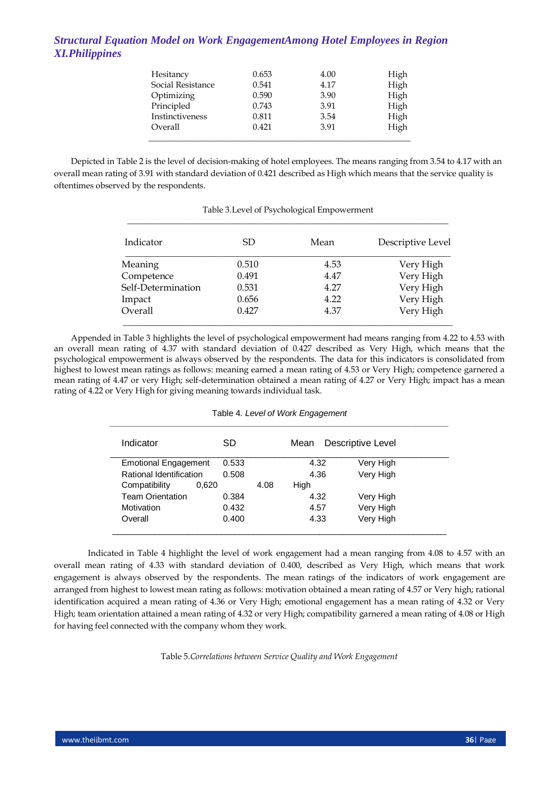| Hesitancy         | 0.653 | 4.00 | High |
|-------------------|-------|------|------|
| Social Resistance | 0.541 | 4.17 | High |
| Optimizing        | 0.590 | 3.90 | High |
| Principled        | 0.743 | 3.91 | High |
| Instinctiveness   | 0.811 | 3.54 | High |
| Overall           | 0.421 | 3.91 | High |
|                   |       |      |      |

Depicted in Table 2 is the level of decision-making of hotel employees. The means ranging from 3.54 to 4.17 with an overall mean rating of 3.91 with standard deviation of 0.421 described as High which means that the service quality is oftentimes observed by the respondents.

| Indicator          | SD.   | Mean | Descriptive Level |
|--------------------|-------|------|-------------------|
| Meaning            | 0.510 | 4.53 | Very High         |
| Competence         | 0.491 | 4.47 | Very High         |
| Self-Determination | 0.531 | 4.27 | Very High         |
| Impact             | 0.656 | 4.22 | Very High         |
| Overall            | 0.427 | 4.37 | Very High         |

## Table 3.Level of Psychological Empowerment

Appended in Table 3 highlights the level of psychological empowerment had means ranging from 4.22 to 4.53 with an overall mean rating of 4.37 with standard deviation of 0.427 described as Very High, which means that the psychological empowerment is always observed by the respondents. The data for this indicators is consolidated from highest to lowest mean ratings as follows: meaning earned a mean rating of 4.53 or Very High; competence garnered a mean rating of 4.47 or very High; self-determination obtained a mean rating of 4.27 or Very High; impact has a mean rating of 4.22 or Very High for giving meaning towards individual task.

|  |  |  | Table 4. Level of Work Engagement |
|--|--|--|-----------------------------------|
|--|--|--|-----------------------------------|

| Indicator                   |       | SD    |      | Mean | Descriptive Level |
|-----------------------------|-------|-------|------|------|-------------------|
| <b>Emotional Engagement</b> |       | 0.533 |      | 4.32 | Very High         |
| Rational Identification     |       | 0.508 |      | 4.36 | Very High         |
| Compatibility               | 0.620 |       | 4.08 | High |                   |
| <b>Team Orientation</b>     |       | 0.384 |      | 4.32 | Very High         |
| Motivation                  |       | 0.432 |      | 4.57 | Very High         |
| Overall                     |       | 0.400 |      | 4.33 | Very High         |

Indicated in Table 4 highlight the level of work engagement had a mean ranging from 4.08 to 4.57 with an overall mean rating of 4.33 with standard deviation of 0.400, described as Very High, which means that work engagement is always observed by the respondents. The mean ratings of the indicators of work engagement are arranged from highest to lowest mean rating as follows: motivation obtained a mean rating of 4.57 or Very high; rational identification acquired a mean rating of 4.36 or Very High; emotional engagement has a mean rating of 4.32 or Very High; team orientation attained a mean rating of 4.32 or very High; compatibility garnered a mean rating of 4.08 or High for having feel connected with the company whom they work.

Table 5.*Correlations between Service Quality and Work Engagement*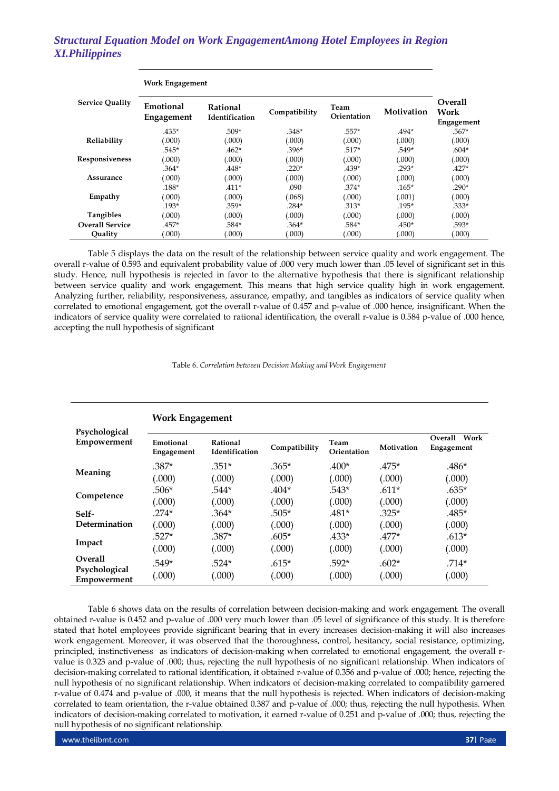| <b>Work Engagement</b> |                         |                            |               |                     |            |                               |
|------------------------|-------------------------|----------------------------|---------------|---------------------|------------|-------------------------------|
| <b>Service Quality</b> | Emotional<br>Engagement | Rational<br>Identification | Compatibility | Team<br>Orientation | Motivation | Overall<br>Work<br>Engagement |
|                        | $.435*$                 | $.509*$                    | $.348*$       | .557*               | $.494*$    | $.567*$                       |
| Reliability            | (.000)                  | (.000)                     | (.000)        | (.000)              | (.000)     | (.000)                        |
|                        | .545*                   | $.462*$                    | $.396*$       | .517*               | .549*      | $.604*$                       |
| Responsiveness         | (000)                   | (.000)                     | (.000)        | (.000)              | (.000)     | (000)                         |
|                        | .364*                   | $.448*$                    | $.220*$       | $.439*$             | .293*      | $.427*$                       |
| Assurance              | (000)                   | (.000)                     | (.000)        | (.000)              | (.000)     | (.000)                        |
|                        | .188*                   | $.411*$                    | .090          | $.374*$             | .165*      | $.290*$                       |
| Empathy                | (000)                   | (.000)                     | (.068)        | (.000)              | (.001)     | (000)                         |
|                        | .193*                   | .359*                      | $.284*$       | .313*               | .195*      | .333*                         |
| Tangibles              | (000)                   | (.000)                     | (.000)        | (.000)              | (.000)     | (000)                         |
| <b>Overall Service</b> | .457*                   | .584*                      | $.364*$       | .584*               | .450*      | .593*                         |
| Quality                | (000)                   | (.000)                     | (.000)        | (.000)              | (.000)     | (.000)                        |

Table 5 displays the data on the result of the relationship between service quality and work engagement. The overall r-value of 0.593 and equivalent probability value of .000 very much lower than .05 level of significant set in this study. Hence, null hypothesis is rejected in favor to the alternative hypothesis that there is significant relationship between service quality and work engagement. This means that high service quality high in work engagement. Analyzing further, reliability, responsiveness, assurance, empathy, and tangibles as indicators of service quality when correlated to emotional engagement, got the overall r-value of 0.457 and p-value of .000 hence, insignificant. When the indicators of service quality were correlated to rational identification, the overall r-value is 0.584 p-value of .000 hence, accepting the null hypothesis of significant

Table 6. *Correlation between Decision Making and Work Engagement*

|                              | <b>Work Engagement</b>  |                            |               |                     |            |                               |  |  |  |
|------------------------------|-------------------------|----------------------------|---------------|---------------------|------------|-------------------------------|--|--|--|
| Psychological<br>Empowerment | Emotional<br>Engagement | Rational<br>Identification | Compatibility | Team<br>Orientation | Motivation | Overall<br>Work<br>Engagement |  |  |  |
| Meaning                      | $.387*$                 | $.351*$                    | $.365*$       | $.400*$             | $.475*$    | $.486*$                       |  |  |  |
|                              | (.000)                  | (.000)                     | (.000)        | (.000)              | (.000)     | (.000)                        |  |  |  |
|                              | .506*                   | .544*                      | $.404*$       | $.543*$             | $.611*$    | $.635*$                       |  |  |  |
| Competence                   | (.000)                  | (.000)                     | (.000)        | (.000)              | (.000)     | (.000)                        |  |  |  |
| Self-                        | $.274*$                 | $.364*$                    | $.505*$       | $.481*$             | $.325*$    | .485*                         |  |  |  |
| Determination                | (.000)                  | (.000)                     | (.000)        | (.000)              | (.000)     | (.000)                        |  |  |  |
| Impact                       | $.527*$                 | $.387*$                    | $.605*$       | $.433*$             | $.477*$    | $.613*$                       |  |  |  |
|                              | (.000)                  | (.000)                     | (.000)        | (.000)              | (.000)     | (.000)                        |  |  |  |
| <b>Overall</b>               | .549*                   | $.524*$                    | $.615*$       | $.592*$             | $.602*$    | $.714*$                       |  |  |  |
| Psychological<br>Empowerment | (.000)                  | (.000)                     | (.000)        | (.000)              | (.000)     | (.000)                        |  |  |  |

Table 6 shows data on the results of correlation between decision-making and work engagement. The overall obtained r-value is 0.452 and p-value of .000 very much lower than .05 level of significance of this study. It is therefore stated that hotel employees provide significant bearing that in every increases decision-making it will also increases work engagement. Moreover, it was observed that the thoroughness, control, hesitancy, social resistance, optimizing, principled, instinctiveness as indicators of decision-making when correlated to emotional engagement, the overall rvalue is 0.323 and p-value of .000; thus, rejecting the null hypothesis of no significant relationship. When indicators of decision-making correlated to rational identification, it obtained r-value of 0.356 and p-value of .000; hence, rejecting the null hypothesis of no significant relationship. When indicators of decision-making correlated to compatibility garnered r-value of 0.474 and p-value of .000, it means that the null hypothesis is rejected. When indicators of decision-making correlated to team orientation, the r-value obtained 0.387 and p-value of .000; thus, rejecting the null hypothesis. When indicators of decision-making correlated to motivation, it earned r-value of 0.251 and p-value of .000; thus, rejecting the null hypothesis of no significant relationship.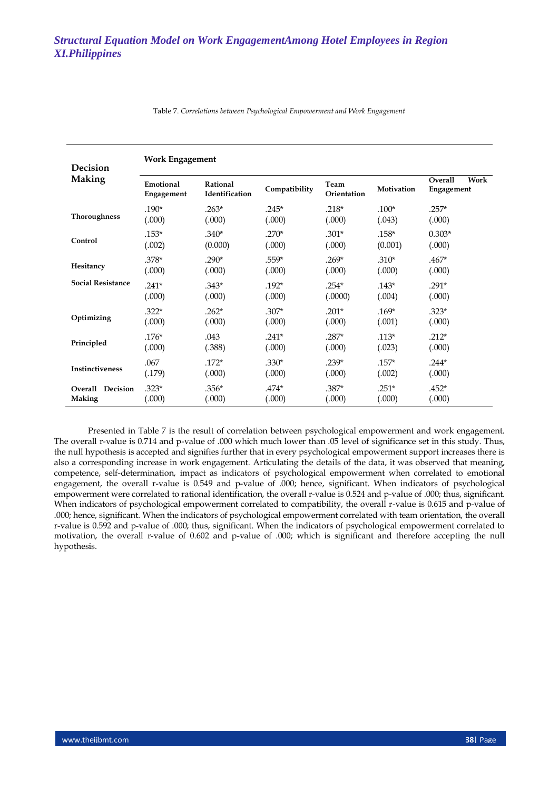| <b>Decision</b>          | <b>Work Engagement</b>  |                                                    |         |                     |            |                               |  |  |  |
|--------------------------|-------------------------|----------------------------------------------------|---------|---------------------|------------|-------------------------------|--|--|--|
| <b>Making</b>            | Emotional<br>Engagement | Rational<br>Compatibility<br><b>Identification</b> |         | Team<br>Orientation | Motivation | Work<br>Overall<br>Engagement |  |  |  |
| Thoroughness             | .190*                   | $.263*$                                            | $.245*$ | $.218*$             | $.100*$    | $.257*$                       |  |  |  |
|                          | (.000)                  | (.000)                                             | (.000)  | (.000)              | (.043)     | (.000)                        |  |  |  |
| Control                  | $.153*$                 | $.340*$                                            | $.270*$ | $.301*$             | $.158*$    | $0.303*$                      |  |  |  |
|                          | (.002)                  | (0.000)                                            | (.000)  | (.000)              | (0.001)    | (.000)                        |  |  |  |
| Hesitancy                | $.378*$                 | $.290*$                                            | $.559*$ | $.269*$             | $.310*$    | $.467*$                       |  |  |  |
|                          | (.000)                  | (.000)                                             | (.000)  | (.000)              | (.000)     | (.000)                        |  |  |  |
| <b>Social Resistance</b> | $.241*$                 | $.343*$                                            | $.192*$ | $.254*$             | $.143*$    | $.291*$                       |  |  |  |
|                          | (.000)                  | (.000)                                             | (.000)  | (.0000)             | (.004)     | (.000)                        |  |  |  |
| Optimizing               | $.322*$                 | $.262*$                                            | $.307*$ | $.201*$             | $.169*$    | $.323*$                       |  |  |  |
|                          | (.000)                  | (.000)                                             | (.000)  | (.000)              | (.001)     | (.000)                        |  |  |  |
| Principled               | $.176*$                 | .043                                               | $.241*$ | $.287*$             | $.113*$    | $.212*$                       |  |  |  |
|                          | (.000)                  | (.388)                                             | (.000)  | (.000)              | (.023)     | (.000)                        |  |  |  |
| Instinctiveness          | .067                    | $.172*$                                            | $.330*$ | $.239*$             | $.157*$    | $.244*$                       |  |  |  |
|                          | (.179)                  | (.000)                                             | (.000)  | (.000)              | (.002)     | (.000)                        |  |  |  |
| Overall Decision         | $.323*$                 | $.356*$                                            | $.474*$ | $.387*$             | $.251*$    | $.452*$                       |  |  |  |
| Making                   | (.000)                  | (.000)                                             | (.000)  | (.000)              | (.000)     | (.000)                        |  |  |  |

Table 7. *Correlations between Psychological Empowerment and Work Engagement*

Presented in Table 7 is the result of correlation between psychological empowerment and work engagement. The overall r-value is 0.714 and p-value of .000 which much lower than .05 level of significance set in this study. Thus, the null hypothesis is accepted and signifies further that in every psychological empowerment support increases there is also a corresponding increase in work engagement. Articulating the details of the data, it was observed that meaning, competence, self-determination, impact as indicators of psychological empowerment when correlated to emotional engagement, the overall r-value is 0.549 and p-value of .000; hence, significant. When indicators of psychological empowerment were correlated to rational identification, the overall r-value is 0.524 and p-value of .000; thus, significant. When indicators of psychological empowerment correlated to compatibility, the overall r-value is 0.615 and p-value of .000; hence, significant. When the indicators of psychological empowerment correlated with team orientation, the overall r-value is 0.592 and p-value of .000; thus, significant. When the indicators of psychological empowerment correlated to motivation, the overall r-value of 0.602 and p-value of .000; which is significant and therefore accepting the null hypothesis.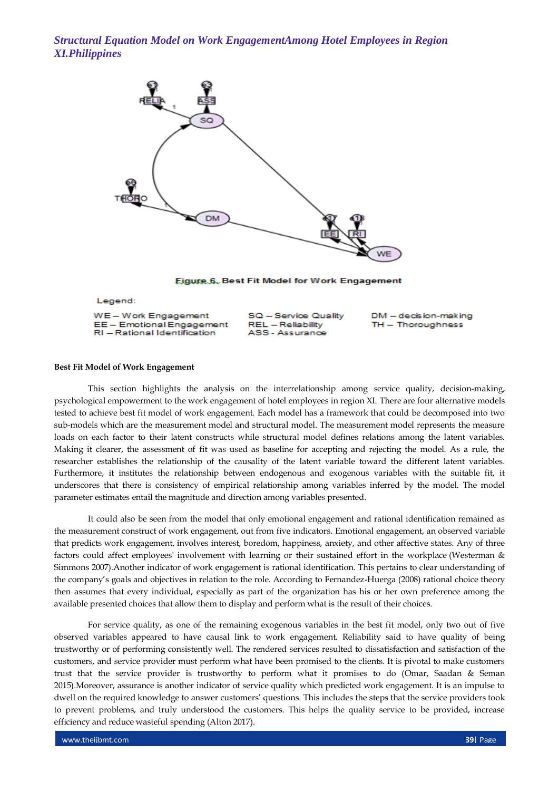

Eigure 6, Best Fit Model for Work Engagement

Legend:

WE-Work Engagement EE - Emotional Engagement RI - Rational Identification

SQ - Service Quality REL - Reliability ASS - Assurance

DM - decision-making TH - Thoroughness

## **Best Fit Model of Work Engagement**

This section highlights the analysis on the interrelationship among service quality, decision-making, psychological empowerment to the work engagement of hotel employees in region XI. There are four alternative models tested to achieve best fit model of work engagement. Each model has a framework that could be decomposed into two sub-models which are the measurement model and structural model. The measurement model represents the measure loads on each factor to their latent constructs while structural model defines relations among the latent variables. Making it clearer, the assessment of fit was used as baseline for accepting and rejecting the model. As a rule, the researcher establishes the relationship of the causality of the latent variable toward the different latent variables. Furthermore, it institutes the relationship between endogenous and exogenous variables with the suitable fit, it underscores that there is consistency of empirical relationship among variables inferred by the model. The model parameter estimates entail the magnitude and direction among variables presented.

It could also be seen from the model that only emotional engagement and rational identification remained as the measurement construct of work engagement, out from five indicators. Emotional engagement, an observed variable that predicts work engagement, involves interest, boredom, happiness, anxiety, and other affective states. Any of three factors could affect employees' involvement with learning or their sustained effort in the workplace (Westerman & Simmons 2007).Another indicator of work engagement is rational identification. This pertains to clear understanding of the company's goals and objectives in relation to the role. According to Fernandez-Huerga (2008) rational choice theory then assumes that every individual, especially as part of the organization has his or her own preference among the available presented choices that allow them to display and perform what is the result of their choices.

For service quality, as one of the remaining exogenous variables in the best fit model, only two out of five observed variables appeared to have causal link to work engagement. Reliability said to have quality of being trustworthy or of performing consistently well. The rendered services resulted to dissatisfaction and satisfaction of the customers, and service provider must perform what have been promised to the clients. It is pivotal to make customers trust that the service provider is trustworthy to perform what it promises to do (Omar, Saadan & Seman 2015).Moreover, assurance is another indicator of service quality which predicted work engagement. It is an impulse to dwell on the required knowledge to answer customers' questions. This includes the steps that the service providers took to prevent problems, and truly understood the customers. This helps the quality service to be provided, increase efficiency and reduce wasteful spending (Alton 2017).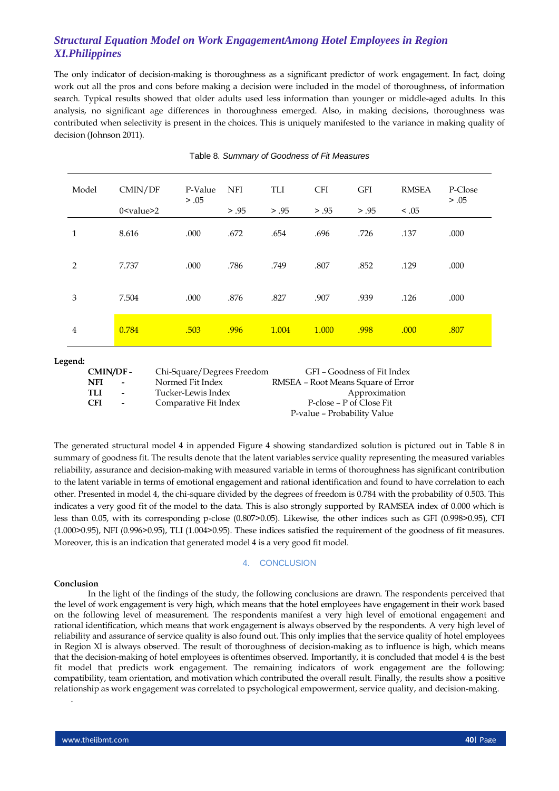The only indicator of decision-making is thoroughness as a significant predictor of work engagement. In fact, doing work out all the pros and cons before making a decision were included in the model of thoroughness, of information search. Typical results showed that older adults used less information than younger or middle-aged adults. In this analysis, no significant age differences in thoroughness emerged. Also, in making decisions, thoroughness was contributed when selectivity is present in the choices. This is uniquely manifested to the variance in making quality of decision (Johnson 2011).

| Model | CMIN/DF<br>0 <value>2</value> | P-Value<br>> .05 | <b>NFI</b><br>> .95 | TLI<br>> .95 | <b>CFI</b><br>> .95 | <b>GFI</b><br>> .95 | <b>RMSEA</b><br>< 0.05 | P-Close<br>> .05 |
|-------|-------------------------------|------------------|---------------------|--------------|---------------------|---------------------|------------------------|------------------|
|       |                               |                  |                     |              |                     |                     |                        |                  |
| 1     | 8.616                         | .000             | .672                | .654         | .696                | .726                | .137                   | .000             |
| 2     | 7.737                         | .000             | .786                | .749         | .807                | .852                | .129                   | .000             |
| 3     | 7.504                         | .000             | .876                | .827         | .907                | .939                | .126                   | .000             |
| 4     | 0.784                         | .503             | .996                | 1.004        | 1.000               | .998                | .000                   | .807             |

### Table 8. *Summary of Goodness of Fit Measures*

#### **Legend:**

| CMIN/DF-   |                          | Chi-Square/Degrees Freedom | GFI – Goodness of Fit Index        |
|------------|--------------------------|----------------------------|------------------------------------|
| NFI        | $\overline{\phantom{a}}$ | Normed Fit Index           | RMSEA - Root Means Square of Error |
| TH         | $\overline{\phantom{0}}$ | Tucker-Lewis Index         | Approximation                      |
| <b>CFI</b> | $\overline{\phantom{0}}$ | Comparative Fit Index      | P-close – P of Close Fit           |
|            |                          |                            | P-value - Probability Value        |

The generated structural model 4 in appended Figure 4 showing standardized solution is pictured out in Table 8 in summary of goodness fit. The results denote that the latent variables service quality representing the measured variables reliability, assurance and decision-making with measured variable in terms of thoroughness has significant contribution to the latent variable in terms of emotional engagement and rational identification and found to have correlation to each other. Presented in model 4, the chi-square divided by the degrees of freedom is 0.784 with the probability of 0.503. This indicates a very good fit of the model to the data. This is also strongly supported by RAMSEA index of 0.000 which is less than 0.05, with its corresponding p-close (0.807>0.05). Likewise, the other indices such as GFI (0.998>0.95), CFI (1.000>0.95), NFI (0.996>0.95), TLI (1.004>0.95). These indices satisfied the requirement of the goodness of fit measures. Moreover, this is an indication that generated model 4 is a very good fit model.

### 4. CONCLUSION

## **Conclusion**

.

In the light of the findings of the study, the following conclusions are drawn. The respondents perceived that the level of work engagement is very high, which means that the hotel employees have engagement in their work based on the following level of measurement. The respondents manifest a very high level of emotional engagement and rational identification, which means that work engagement is always observed by the respondents. A very high level of reliability and assurance of service quality is also found out. This only implies that the service quality of hotel employees in Region XI is always observed. The result of thoroughness of decision-making as to influence is high, which means that the decision-making of hotel employees is oftentimes observed. Importantly, it is concluded that model 4 is the best fit model that predicts work engagement. The remaining indicators of work engagement are the following: compatibility, team orientation, and motivation which contributed the overall result. Finally, the results show a positive relationship as work engagement was correlated to psychological empowerment, service quality, and decision-making.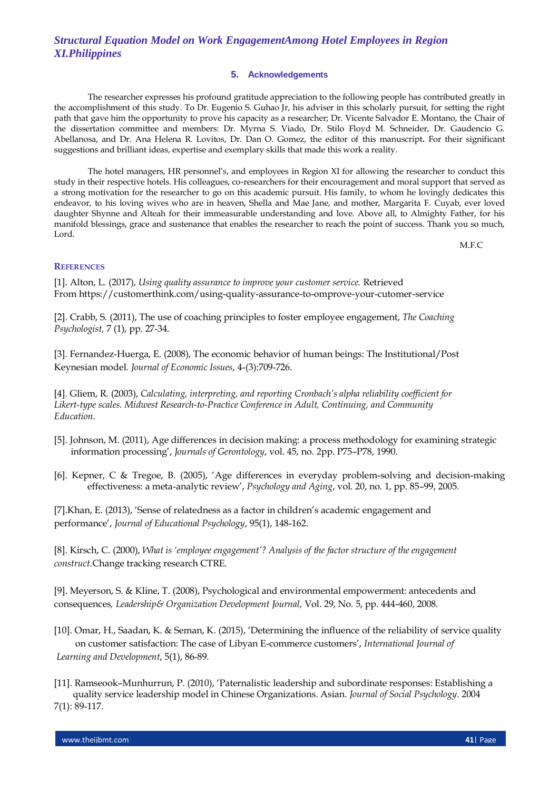## **5. Acknowledgements**

The researcher expresses his profound gratitude appreciation to the following people has contributed greatly in the accomplishment of this study. To Dr. Eugenio S. Guhao Jr, his adviser in this scholarly pursuit, for setting the right path that gave him the opportunity to prove his capacity as a researcher; Dr. Vicente Salvador E. Montano, the Chair of the dissertation committee and members: Dr. Myrna S. Viado, Dr. Stilo Floyd M. Schneider, Dr. Gaudencio G. Abellanosa, and Dr. Ana Helena R. Lovitos, Dr. Dan O. Gomez, the editor of this manuscript**.** For their significant suggestions and brilliant ideas, expertise and exemplary skills that made this work a reality.

The hotel managers, HR personnel's, and employees in Region XI for allowing the researcher to conduct this study in their respective hotels. His colleagues, co-researchers for their encouragement and moral support that served as a strong motivation for the researcher to go on this academic pursuit. His family, to whom he lovingly dedicates this endeavor, to his loving wives who are in heaven, Shella and Mae Jane, and mother, Margarita F. Cuyab, ever loved daughter Shynne and Alteah for their immeasurable understanding and love. Above all, to Almighty Father, for his manifold blessings, grace and sustenance that enables the researcher to reach the point of success. Thank you so much, Lord.

M.F.C

## **REFERENCES**

[1]. Alton, L. (2017), *Using quality assurance to improve your customer service.* Retrieved From [https://customerthink.com/using-quality-assurance-to-omprove-your-cutomer-s](https://customerthink.com/using-quality-assurance-to-omprove-your-cutomer-)ervice

[2]. Crabb, S. (2011), The use of coaching principles to foster employee engagement, *The Coaching Psychologist,* 7 (1), pp. 27-34.

[3]. Fernandez-Huerga, E. (2008), The economic behavior of human beings: The Institutional/Post Keynesian model. *Journal of Economic Issues*, 4-(3):709-726.

[4]. Gliem, R. (2003), *Calculating, interpreting, and reporting Cronbach's alpha reliability coefficient for Likert-type scales. Midwest Research-to-Practice Conference in Adult, Continuing, and Community Education*.

- [5]. Johnson, M. (2011), Age differences in decision making: a process methodology for examining strategic information processing', *Journals of Gerontology*, vol. 45, no. 2pp. P75–P78, 1990.
- [6]. Kepner, C & Tregoe, B. (2005), 'Age differences in everyday problem-solving and decision-making effectiveness: a meta-analytic review', *Psychology and Aging*, vol. 20, no. 1, pp. 85–99, 2005.

[7].Khan, E. (2013), 'Sense of relatedness as a factor in children's academic engagement and performance', *Journal of Educational Psychology*, 95(1), 148-162.

[8]. Kirsch, C. (2000), *What is 'employee engagement'? Analysis of the factor structure of the engagement construct.*Change tracking research CTRE.

[9]. Meyerson, S. & Kline, T. (2008), Psychological and environmental empowerment: antecedents and consequences*, Leadership& Organization Development Journal,* Vol. 29, No. 5, pp. 444-460, 2008.

- [10]. Omar, H., Saadan, K. & Seman, K. (2015), 'Determining the influence of the reliability of service quality on customer satisfaction: The case of Libyan E-commerce customers', *International Journal of Learning and Development*, 5(1), 86-89.
- [11]. Ramseook–Munhurrun, P. (2010), 'Paternalistic leadership and subordinate responses: Establishing a quality service leadership model in Chinese Organizations. Asian. *Journal of Social Psychology*. 2004 7(1): 89-117.